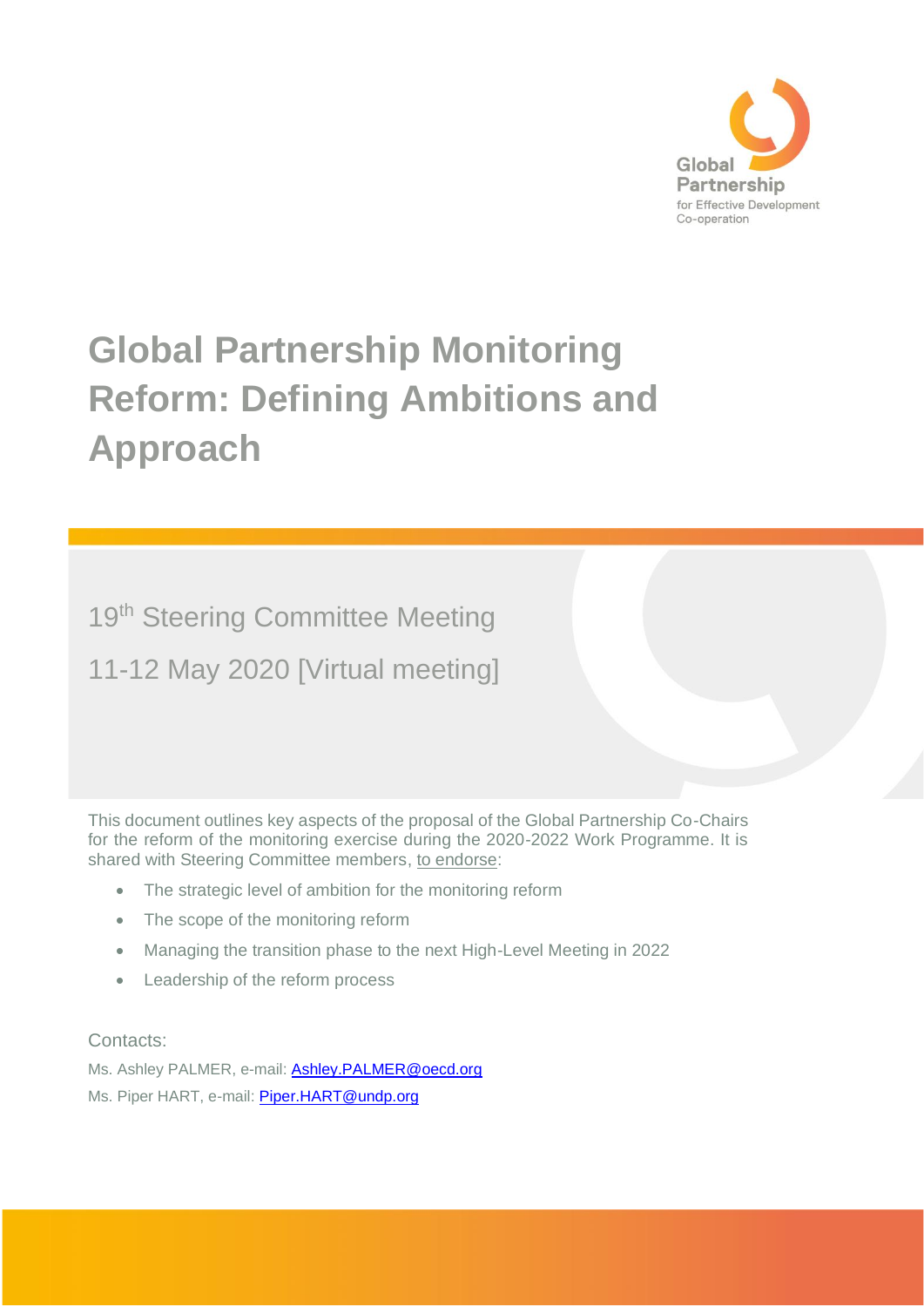

# **Global Partnership Monitoring Reform: Defining Ambitions and Approach**

19<sup>th</sup> Steering Committee Meeting

11-12 May 2020 [Virtual meeting]

This document outlines key aspects of the proposal of the Global Partnership Co-Chairs for the reform of the monitoring exercise during the 2020-2022 Work Programme. It is shared with Steering Committee members, to endorse:

- The strategic level of ambition for the monitoring reform
- The scope of the monitoring reform
- Managing the transition phase to the next High-Level Meeting in 2022
- Leadership of the reform process

Contacts:

Ms. Ashley PALMER, e-mail: **Ashley.PALMER@oecd.org** Ms. Piper HART, e-mail: [Piper.HART@undp.org](mailto:Piper.HART@undp.org)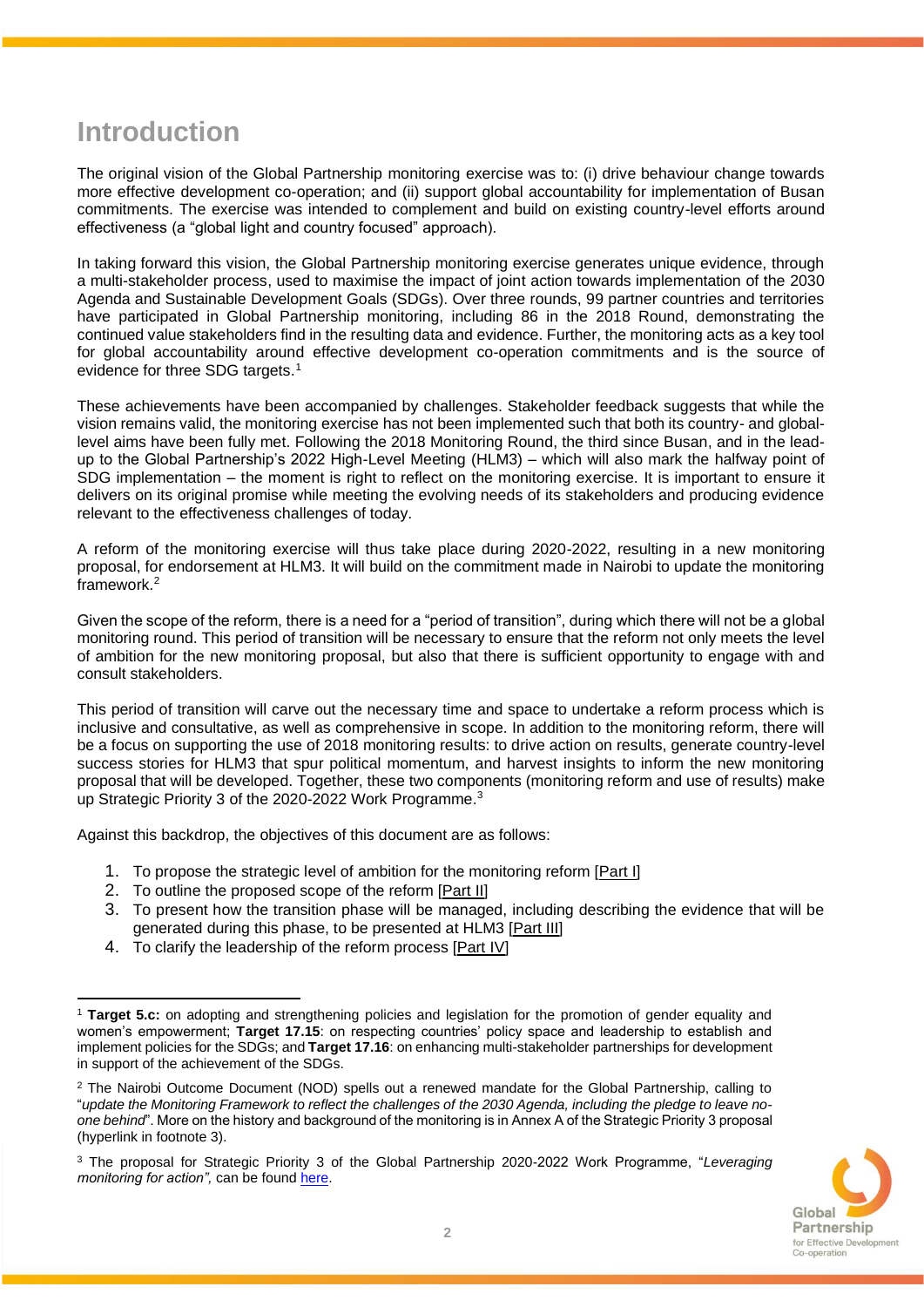### **Introduction**

The original vision of the Global Partnership monitoring exercise was to: (i) drive behaviour change towards more effective development co-operation; and (ii) support global accountability for implementation of Busan commitments. The exercise was intended to complement and build on existing country-level efforts around effectiveness (a "global light and country focused" approach).

In taking forward this vision, the Global Partnership monitoring exercise generates unique evidence, through a multi-stakeholder process, used to maximise the impact of joint action towards implementation of the 2030 Agenda and Sustainable Development Goals (SDGs). Over three rounds, 99 partner countries and territories have participated in Global Partnership monitoring, including 86 in the 2018 Round, demonstrating the continued value stakeholders find in the resulting data and evidence. Further, the monitoring acts as a key tool for global accountability around effective development co-operation commitments and is the source of evidence for three SDG targets.<sup>1</sup>

These achievements have been accompanied by challenges. Stakeholder feedback suggests that while the vision remains valid, the monitoring exercise has not been implemented such that both its country- and globallevel aims have been fully met. Following the 2018 Monitoring Round, the third since Busan, and in the leadup to the Global Partnership's 2022 High-Level Meeting (HLM3) – which will also mark the halfway point of SDG implementation – the moment is right to reflect on the monitoring exercise. It is important to ensure it delivers on its original promise while meeting the evolving needs of its stakeholders and producing evidence relevant to the effectiveness challenges of today.

A reform of the monitoring exercise will thus take place during 2020-2022, resulting in a new monitoring proposal, for endorsement at HLM3. It will build on the commitment made in Nairobi to update the monitoring framework.<sup>2</sup>

Given the scope of the reform, there is a need for a "period of transition", during which there will not be a global monitoring round. This period of transition will be necessary to ensure that the reform not only meets the level of ambition for the new monitoring proposal, but also that there is sufficient opportunity to engage with and consult stakeholders.

This period of transition will carve out the necessary time and space to undertake a reform process which is inclusive and consultative, as well as comprehensive in scope. In addition to the monitoring reform, there will be a focus on supporting the use of 2018 monitoring results: to drive action on results, generate country-level success stories for HLM3 that spur political momentum, and harvest insights to inform the new monitoring proposal that will be developed. Together, these two components (monitoring reform and use of results) make up Strategic Priority 3 of the 2020-2022 Work Programme.<sup>3</sup>

Against this backdrop, the objectives of this document are as follows:

- 1. To propose the strategic level of ambition for the monitoring reform [Part I]
- 2. To outline the proposed scope of the reform [Part II]
- 3. To present how the transition phase will be managed, including describing the evidence that will be generated during this phase, to be presented at HLM3 [Part III]
- 4. To clarify the leadership of the reform process [Part IV]

<sup>3</sup> The proposal for Strategic Priority 3 of the Global Partnership 2020-2022 Work Programme, "*Leveraging monitoring for action"*, can be foun[d here.](https://knowledge.effectivecooperation.org/content/strategic-priority-3-leveraging-monitoring-action)



<sup>1</sup> **Target 5.c:** on adopting and strengthening policies and legislation for the promotion of gender equality and women's empowerment; **Target 17.15**: on respecting countries' policy space and leadership to establish and implement policies for the SDGs; and **Target 17.16**: on enhancing multi-stakeholder partnerships for development in support of the achievement of the SDGs.

<sup>&</sup>lt;sup>2</sup> The Nairobi Outcome Document (NOD) spells out a renewed mandate for the Global Partnership, calling to "*update the Monitoring Framework to reflect the challenges of the 2030 Agenda, including the pledge to leave noone behind*". More on the history and background of the monitoring is in Annex A of the Strategic Priority 3 proposal (hyperlink in footnote 3).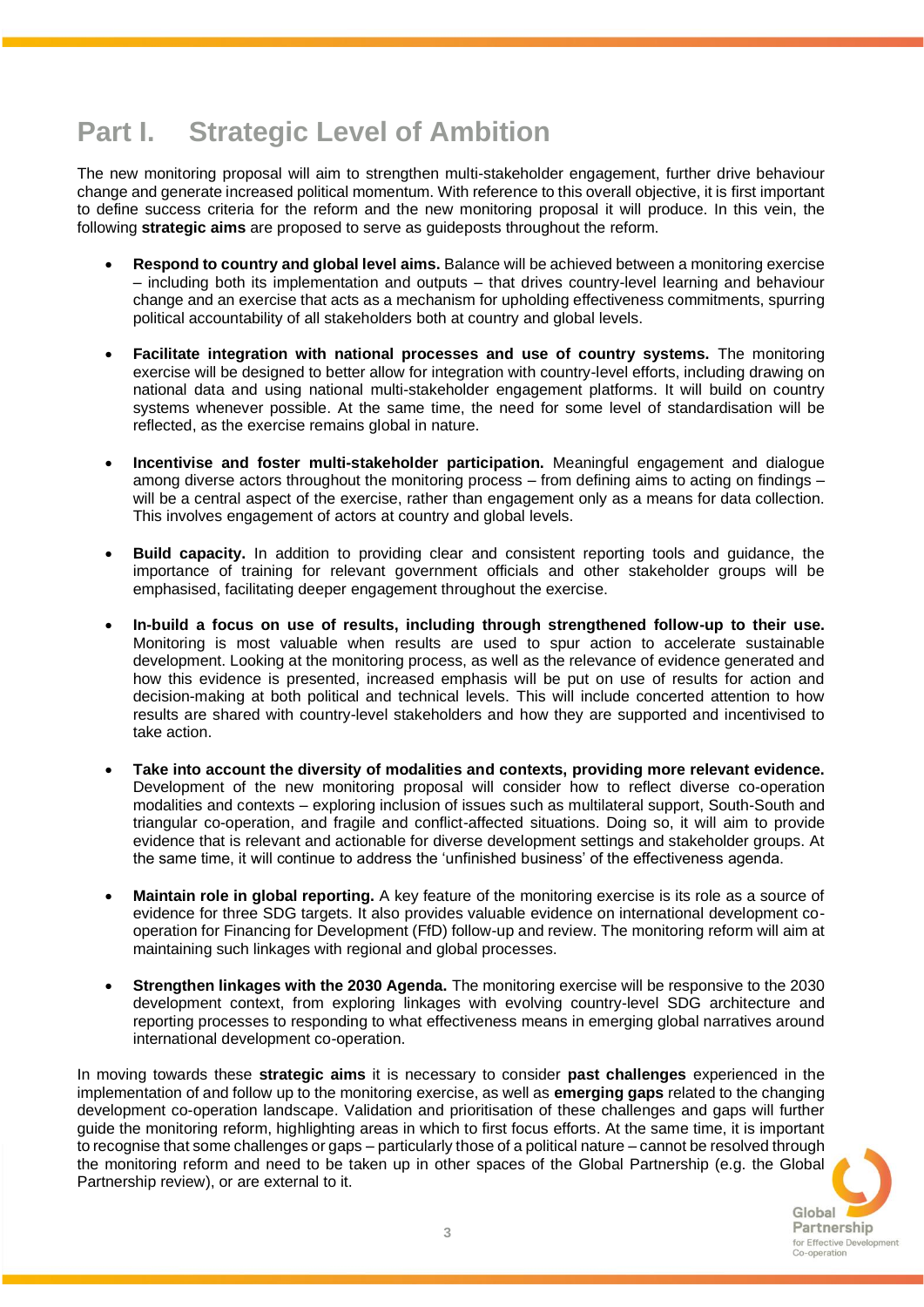# **Part I. Strategic Level of Ambition**

The new monitoring proposal will aim to strengthen multi-stakeholder engagement, further drive behaviour change and generate increased political momentum. With reference to this overall objective, it is first important to define success criteria for the reform and the new monitoring proposal it will produce. In this vein, the following **strategic aims** are proposed to serve as guideposts throughout the reform.

- **Respond to country and global level aims.** Balance will be achieved between a monitoring exercise – including both its implementation and outputs – that drives country-level learning and behaviour change and an exercise that acts as a mechanism for upholding effectiveness commitments, spurring political accountability of all stakeholders both at country and global levels.
- **Facilitate integration with national processes and use of country systems.** The monitoring exercise will be designed to better allow for integration with country-level efforts, including drawing on national data and using national multi-stakeholder engagement platforms. It will build on country systems whenever possible. At the same time, the need for some level of standardisation will be reflected, as the exercise remains global in nature.
- **Incentivise and foster multi-stakeholder participation.** Meaningful engagement and dialogue among diverse actors throughout the monitoring process – from defining aims to acting on findings – will be a central aspect of the exercise, rather than engagement only as a means for data collection. This involves engagement of actors at country and global levels.
- **Build capacity.** In addition to providing clear and consistent reporting tools and guidance, the importance of training for relevant government officials and other stakeholder groups will be emphasised, facilitating deeper engagement throughout the exercise.
- **In-build a focus on use of results, including through strengthened follow-up to their use.**  Monitoring is most valuable when results are used to spur action to accelerate sustainable development. Looking at the monitoring process, as well as the relevance of evidence generated and how this evidence is presented, increased emphasis will be put on use of results for action and decision-making at both political and technical levels. This will include concerted attention to how results are shared with country-level stakeholders and how they are supported and incentivised to take action.
- **Take into account the diversity of modalities and contexts, providing more relevant evidence.** Development of the new monitoring proposal will consider how to reflect diverse co-operation modalities and contexts – exploring inclusion of issues such as multilateral support, South-South and triangular co-operation, and fragile and conflict-affected situations. Doing so, it will aim to provide evidence that is relevant and actionable for diverse development settings and stakeholder groups. At the same time, it will continue to address the 'unfinished business' of the effectiveness agenda.
- **Maintain role in global reporting.** A key feature of the monitoring exercise is its role as a source of evidence for three SDG targets. It also provides valuable evidence on international development cooperation for Financing for Development (FfD) follow-up and review. The monitoring reform will aim at maintaining such linkages with regional and global processes.
- **Strengthen linkages with the 2030 Agenda.** The monitoring exercise will be responsive to the 2030 development context, from exploring linkages with evolving country-level SDG architecture and reporting processes to responding to what effectiveness means in emerging global narratives around international development co-operation.

In moving towards these **strategic aims** it is necessary to consider **past challenges** experienced in the implementation of and follow up to the monitoring exercise, as well as **emerging gaps** related to the changing development co-operation landscape. Validation and prioritisation of these challenges and gaps will further guide the monitoring reform, highlighting areas in which to first focus efforts. At the same time, it is important to recognise that some challenges or gaps – particularly those of a political nature –cannot be resolved through the monitoring reform and need to be taken up in other spaces of the Global Partnership (e.g. the Global Partnership review), or are external to it.

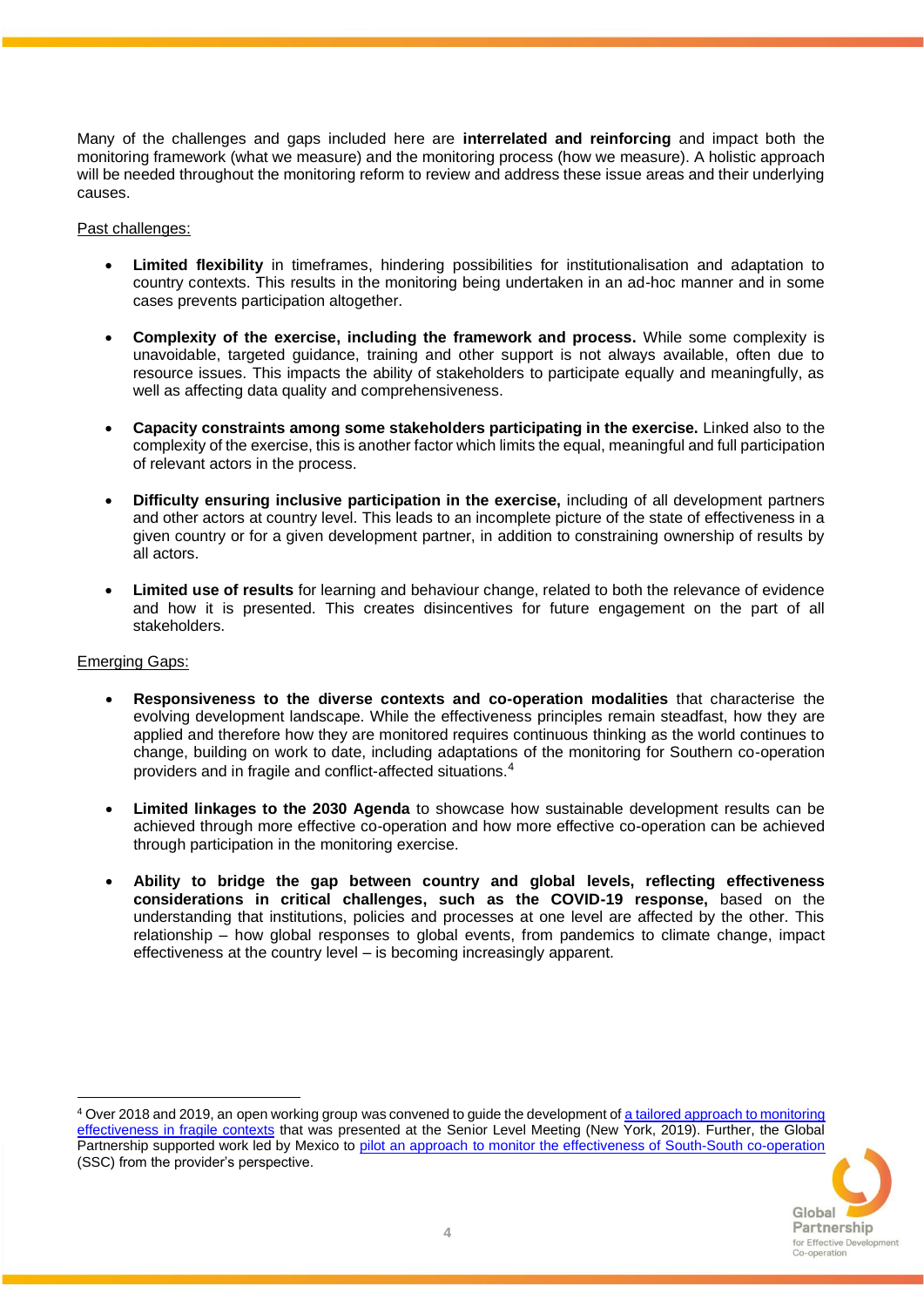Many of the challenges and gaps included here are **interrelated and reinforcing** and impact both the monitoring framework (what we measure) and the monitoring process (how we measure). A holistic approach will be needed throughout the monitoring reform to review and address these issue areas and their underlying causes.

### Past challenges:

- **Limited flexibility** in timeframes, hindering possibilities for institutionalisation and adaptation to country contexts. This results in the monitoring being undertaken in an ad-hoc manner and in some cases prevents participation altogether.
- **Complexity of the exercise, including the framework and process.** While some complexity is unavoidable, targeted guidance, training and other support is not always available, often due to resource issues. This impacts the ability of stakeholders to participate equally and meaningfully, as well as affecting data quality and comprehensiveness.
- **Capacity constraints among some stakeholders participating in the exercise.** Linked also to the complexity of the exercise, this is another factor which limits the equal, meaningful and full participation of relevant actors in the process.
- **Difficulty ensuring inclusive participation in the exercise,** including of all development partners and other actors at country level. This leads to an incomplete picture of the state of effectiveness in a given country or for a given development partner, in addition to constraining ownership of results by all actors.
- **Limited use of results** for learning and behaviour change, related to both the relevance of evidence and how it is presented. This creates disincentives for future engagement on the part of all stakeholders.

### Emerging Gaps:

- **Responsiveness to the diverse contexts and co-operation modalities** that characterise the evolving development landscape. While the effectiveness principles remain steadfast, how they are applied and therefore how they are monitored requires continuous thinking as the world continues to change, building on work to date, including adaptations of the monitoring for Southern co-operation providers and in fragile and conflict-affected situations.<sup>4</sup>
- **Limited linkages to the 2030 Agenda** to showcase how sustainable development results can be achieved through more effective co-operation and how more effective co-operation can be achieved through participation in the monitoring exercise.
- **Ability to bridge the gap between country and global levels, reflecting effectiveness considerations in critical challenges, such as the COVID-19 response,** based on the understanding that institutions, policies and processes at one level are affected by the other. This relationship – how global responses to global events, from pandemics to climate change, impact effectiveness at the country level – is becoming increasingly apparent.

<sup>4</sup> Over 2018 and 2019, an open working group was convened to guide the development o[f a tailored approach to monitoring](https://www.effectivecooperation.org/system/files/2020-06/FCAS-monitoring-approach.pdf)  [effectiveness in fragile contexts](https://www.effectivecooperation.org/system/files/2020-06/FCAS-monitoring-approach.pdf) that was presented at the Senior Level Meeting (New York, 2019). Further, the Global Partnership supported work led by Mexico to [pilot an approach to monitor the effectiveness of South-South co-operation](https://www.effectivecooperation.org/system/files/2020-06/SSC-monitoring-note-for-SLM.pdf) (SSC) from the provider's perspective.

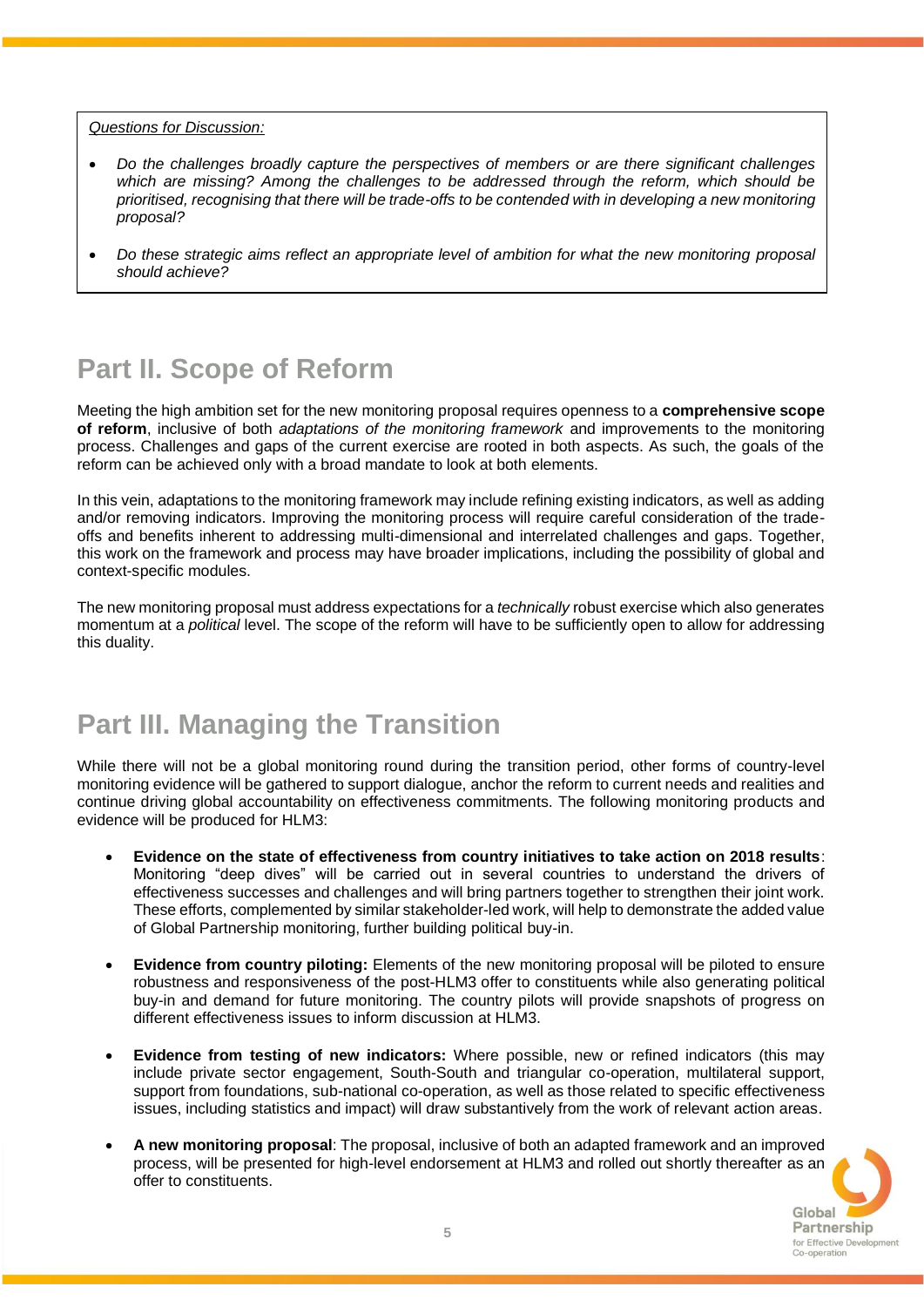#### *Questions for Discussion:*

- *Do the challenges broadly capture the perspectives of members or are there significant challenges which are missing? Among the challenges to be addressed through the reform, which should be prioritised, recognising that there will be trade-offs to be contended with in developing a new monitoring proposal?*
- *Do these strategic aims reflect an appropriate level of ambition for what the new monitoring proposal should achieve?*

### **Part II. Scope of Reform**

Meeting the high ambition set for the new monitoring proposal requires openness to a **comprehensive scope of reform**, inclusive of both *adaptations of the monitoring framework* and improvements to the monitoring process. Challenges and gaps of the current exercise are rooted in both aspects. As such, the goals of the reform can be achieved only with a broad mandate to look at both elements.

In this vein, adaptations to the monitoring framework may include refining existing indicators, as well as adding and/or removing indicators. Improving the monitoring process will require careful consideration of the tradeoffs and benefits inherent to addressing multi-dimensional and interrelated challenges and gaps. Together, this work on the framework and process may have broader implications, including the possibility of global and context-specific modules.

The new monitoring proposal must address expectations for a *technically* robust exercise which also generates momentum at a *political* level. The scope of the reform will have to be sufficiently open to allow for addressing this duality.

## **Part III. Managing the Transition**

While there will not be a global monitoring round during the transition period, other forms of country-level monitoring evidence will be gathered to support dialogue, anchor the reform to current needs and realities and continue driving global accountability on effectiveness commitments. The following monitoring products and evidence will be produced for HLM3:

- **Evidence on the state of effectiveness from country initiatives to take action on 2018 results**: Monitoring "deep dives" will be carried out in several countries to understand the drivers of effectiveness successes and challenges and will bring partners together to strengthen their joint work. These efforts, complemented by similar stakeholder-led work, will help to demonstrate the added value of Global Partnership monitoring, further building political buy-in.
- **Evidence from country piloting:** Elements of the new monitoring proposal will be piloted to ensure robustness and responsiveness of the post-HLM3 offer to constituents while also generating political buy-in and demand for future monitoring. The country pilots will provide snapshots of progress on different effectiveness issues to inform discussion at HLM3.
- **Evidence from testing of new indicators:** Where possible, new or refined indicators (this may include private sector engagement, South-South and triangular co-operation, multilateral support, support from foundations, sub-national co-operation, as well as those related to specific effectiveness issues, including statistics and impact) will draw substantively from the work of relevant action areas.
- **A new monitoring proposal**: The proposal, inclusive of both an adapted framework and an improved process, will be presented for high-level endorsement at HLM3 and rolled out shortly thereafter as an offer to constituents.